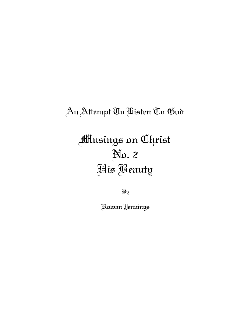## An Attempt To Listen To God

# Musings on Christ No. 2 His Beauty

By

Rowan Jennings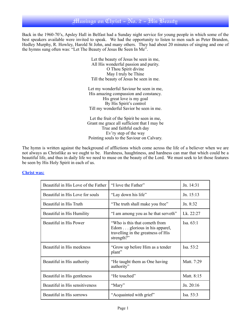#### Musings on Christ - No. 2 - His Beauty

Back in the 1960-70's, Apsley Hall in Belfast had a Sunday night service for young people in which some of the best speakers available were invited to speak. We had the opportunity to listen to men such as Peter Brandon, Hedley Murphy, R. Howley, Harold St John, and many others. They had about 20 minutes of singing and one of the hymns sung often was: "Let The Beauty of Jesus Be Seen In Me".

> Let the beauty of Jesus be seen in me, All His wonderful passion and purity. O Thou Spirit divine May I truly be Thine Till the beauty of Jesus be seen in me.

Let my wonderful Saviour be seen in me, His amazing compassion and constancy. His great love is my goal By His Spirit's control Till my wonderful Savior be seen in me.

Let the fruit of the Spirit be seen in me, Grant me grace all sufficient that I may be True and faithful each day Ev'ry step of the way Pointing souls to the Saviour on Calvary.

The hymn is written against the background of afflictions which come across the life of a believer when we are not always as Christlike as we ought to be. Harshness, haughtiness, and hardness can mar that which could be a beautiful life, and thus in daily life we need to muse on the beauty of the Lord. We must seek to let those features be seen by His Holy Spirit in each of us.

#### **Christ was:**

| Beautiful in His Love of the Father | "I love the Father"                                                                                                | Jn. 14:31   |
|-------------------------------------|--------------------------------------------------------------------------------------------------------------------|-------------|
| Beautiful in His Love for souls     | "Lay down his life"                                                                                                | Jn. $15:13$ |
| Beautiful in His Truth              | "The truth shall make you free"                                                                                    | Jn. $8:32$  |
| Beautiful in His Humility           | "I am among you as he that serveth"                                                                                | Lk. 22:27   |
| Beautiful in His Power              | "Who is this that cometh from<br>Edom glorious in his apparel,<br>travelling in the greatness of His<br>strength?" | Isa. 63:1   |
| Beautiful in His meekness           | "Grow up before Him as a tender"<br>plant"                                                                         | Isa. 53:2   |
| Beautiful in His authority          | "He taught them as One having"<br>authority"                                                                       | Matt. 7:29  |
| Beautiful in His gentleness         | "He touched"                                                                                                       | Matt. 8:15  |
| Beautiful in His sensitiveness      | "Mary"                                                                                                             | Jn. 20:16   |
| Beautiful in His sorrows            | "Acquainted with grief"                                                                                            | Isa. $53:3$ |